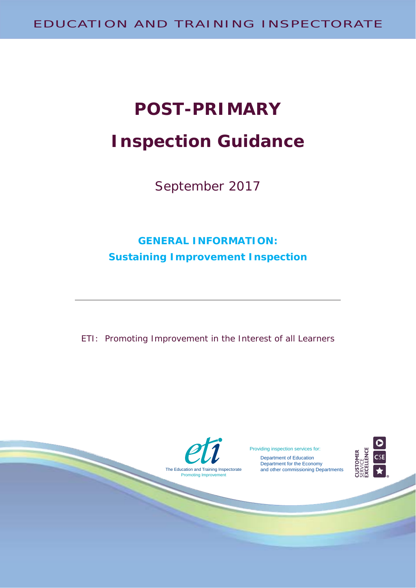# **POST-PRIMARY Inspection Guidance**

September 2017

# **GENERAL INFORMATION: Sustaining Improvement Inspection**

ETI: Promoting Improvement in the Interest of all Learners

The Education and Training Inspectorate

Promoting Improvement

Providing inspection services for:

 Department of Education Department for the Economy and other commissioning Departments

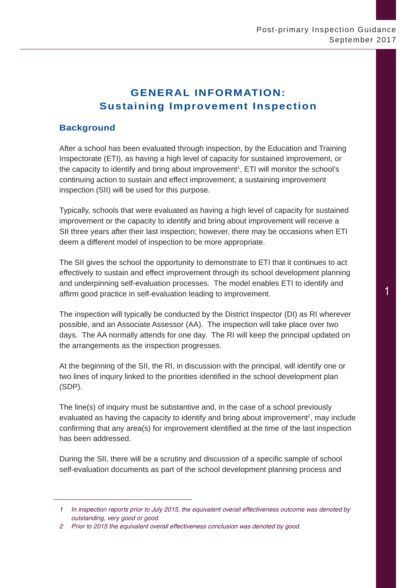# **GENERAL INFORMATION: Sustaining Improvement Inspection**

# **Background**

After a school has been evaluated through inspection, by the Education and Training Inspectorate (ETI), as having a high level of capacity for sustained improvement, or the capacity to identify and bring about improvement<sup>1</sup>, ETI will monitor the school's continuing action to sustain and effect improvement; a sustaining improvement inspection (SII) will be used for this purpose.

Typically, schools that were evaluated as having a high level of capacity for sustained improvement or the capacity to identify and bring about improvement will receive a SII three years after their last inspection; however, there may be occasions when ETI deem a different model of inspection to be more appropriate.

The SII gives the school the opportunity to demonstrate to ETI that it continues to act effectively to sustain and effect improvement through its school development planning and underpinning self-evaluation processes. The model enables ETI to identify and affirm good practice in self-evaluation leading to improvement.

The inspection will typically be conducted by the District Inspector (DI) as RI wherever possible, and an Associate Assessor (AA). The inspection will take place over two days. The AA normally attends for one day. The RI will keep the principal updated on the arrangements as the inspection progresses.

At the beginning of the SII, the RI, in discussion with the principal, will identify one or two lines of inquiry linked to the priorities identified in the school development plan (SDP).

The line(s) of inquiry must be substantive and, in the case of a school previously evaluated as having the capacity to identify and bring about improvement<sup>2</sup>, may include confirming that any area(s) for improvement identified at the time of the last inspection has been addressed.

During the SII, there will be a scrutiny and discussion of a specific sample of school self-evaluation documents as part of the school development planning process and

*<sup>1</sup> In inspection reports prior to July 2015, the equivalent overall effectiveness outcome was denoted by outstanding, very good or good.*

*<sup>2</sup> Prior to 2015 the equivalent overall effectiveness conclusion was denoted by good.*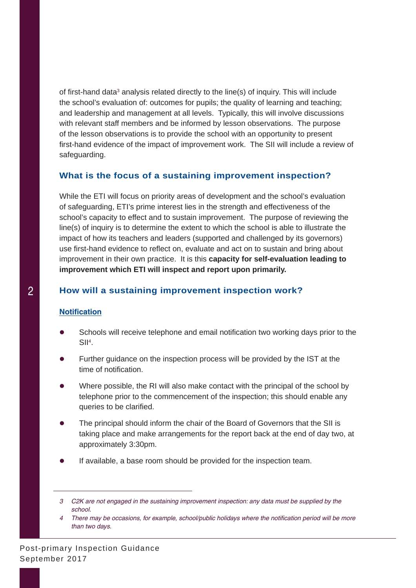of first-hand data<sup>3</sup> analysis related directly to the line(s) of inquiry. This will include the school's evaluation of: outcomes for pupils; the quality of learning and teaching; and leadership and management at all levels. Typically, this will involve discussions with relevant staff members and be informed by lesson observations. The purpose of the lesson observations is to provide the school with an opportunity to present first-hand evidence of the impact of improvement work. The SII will include a review of safeguarding.

#### **What is the focus of a sustaining improvement inspection?**

While the ETI will focus on priority areas of development and the school's evaluation of safeguarding, ETI's prime interest lies in the strength and effectiveness of the school's capacity to effect and to sustain improvement. The purpose of reviewing the line(s) of inquiry is to determine the extent to which the school is able to illustrate the impact of how its teachers and leaders (supported and challenged by its governors) use first-hand evidence to reflect on, evaluate and act on to sustain and bring about improvement in their own practice. It is this **capacity for self-evaluation leading to improvement which ETI will inspect and report upon primarily.**

# **How will a sustaining improvement inspection work?**

#### **Notification**

- Schools will receive telephone and email notification two working days prior to the  $SII<sup>4</sup>$ .
- Further guidance on the inspection process will be provided by the IST at the time of notification.
- Where possible, the RI will also make contact with the principal of the school by telephone prior to the commencement of the inspection; this should enable any queries to be clarified.
- The principal should inform the chair of the Board of Governors that the SII is taking place and make arrangements for the report back at the end of day two, at approximately 3:30pm.
- If available, a base room should be provided for the inspection team.

*<sup>3</sup> C2K are not engaged in the sustaining improvement inspection: any data must be supplied by the school.* 

*<sup>4</sup>* There may be occasions, for example, school/public holidays where the notification period will be more *than two days.*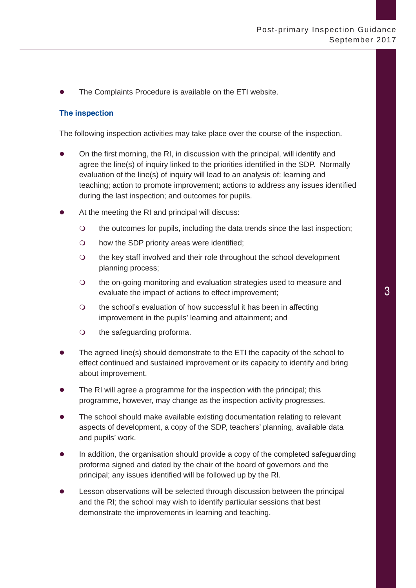The Complaints Procedure is available on the ETI website.

#### **The inspection**

The following inspection activities may take place over the course of the inspection.

- On the first morning, the RI, in discussion with the principal, will identify and agree the line(s) of inquiry linked to the priorities identified in the SDP. Normally evaluation of the line(s) of inquiry will lead to an analysis of: learning and teaching; action to promote improvement; actions to address any issues identified during the last inspection; and outcomes for pupils.
- At the meeting the RI and principal will discuss:
	- the outcomes for pupils, including the data trends since the last inspection;
	- $\circ$  how the SDP priority areas were identified;
	- the key staff involved and their role throughout the school development planning process;
	- the on-going monitoring and evaluation strategies used to measure and evaluate the impact of actions to effect improvement;
	- the school's evaluation of how successful it has been in affecting improvement in the pupils' learning and attainment; and
	- O the safeguarding proforma.
- The agreed line(s) should demonstrate to the ETI the capacity of the school to effect continued and sustained improvement or its capacity to identify and bring about improvement.
- The RI will agree a programme for the inspection with the principal; this programme, however, may change as the inspection activity progresses.
- The school should make available existing documentation relating to relevant aspects of development, a copy of the SDP, teachers' planning, available data and pupils' work.
- In addition, the organisation should provide a copy of the completed safeguarding proforma signed and dated by the chair of the board of governors and the principal; any issues identified will be followed up by the RI.
- Lesson observations will be selected through discussion between the principal and the RI; the school may wish to identify particular sessions that best demonstrate the improvements in learning and teaching.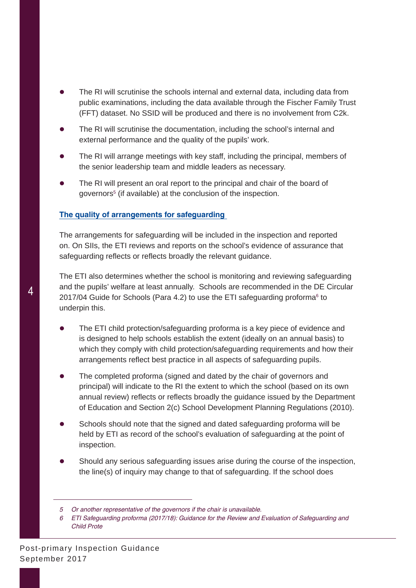- The RI will scrutinise the schools internal and external data, including data from public examinations, including the data available through the Fischer Family Trust (FFT) dataset. No SSID will be produced and there is no involvement from C2k.
- The RI will scrutinise the documentation, including the school's internal and external performance and the quality of the pupils' work.
- The RI will arrange meetings with key staff, including the principal, members of the senior leadership team and middle leaders as necessary.
- The RI will present an oral report to the principal and chair of the board of governors<sup>5</sup> (if available) at the conclusion of the inspection.

#### **The quality of arrangements for safeguarding**

The arrangements for safeguarding will be included in the inspection and reported on. On SIIs, the ETI reviews and reports on the school's evidence of assurance that safeguarding reflects or reflects broadly the relevant guidance.

The ETI also determines whether the school is monitoring and reviewing safeguarding and the pupils' welfare at least annually. Schools are recommended in the DE Circular 2017/04 Guide for Schools (Para 4.2) to use the ETI safeguarding proforma<sup>6</sup> to underpin this.

- The ETI child protection/safeguarding proforma is a key piece of evidence and is designed to help schools establish the extent (ideally on an annual basis) to which they comply with child protection/safeguarding requirements and how their arrangements reflect best practice in all aspects of safeguarding pupils.
- The completed proforma (signed and dated by the chair of governors and principal) will indicate to the RI the extent to which the school (based on its own annual review) reflects or reflects broadly the guidance issued by the Department of Education and Section 2(c) School Development Planning Regulations (2010).
- Schools should note that the signed and dated safeguarding proforma will be held by ETI as record of the school's evaluation of safeguarding at the point of inspection.
- Should any serious safeguarding issues arise during the course of the inspection, the line(s) of inquiry may change to that of safeguarding. If the school does

*<sup>5</sup> Or another representative of the governors if the chair is unavailable.*

*<sup>6</sup> ETI Safeguarding proforma (2017/18): Guidance for the Review and Evaluation of Safeguarding and Child Prote*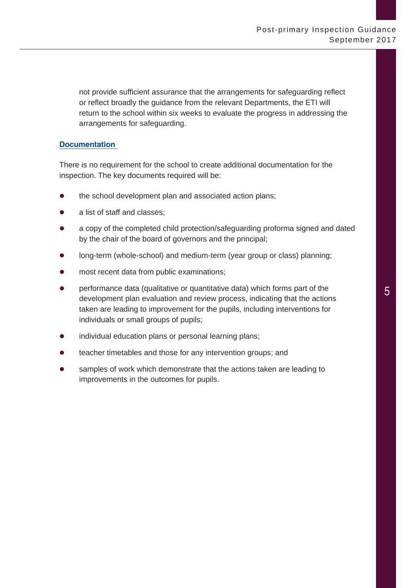not provide sufficient assurance that the arrangements for safeguarding reflect or reflect broadly the guidance from the relevant Departments, the ETI will return to the school within six weeks to evaluate the progress in addressing the arrangements for safeguarding.

#### **Documentation**

There is no requirement for the school to create additional documentation for the inspection. The key documents required will be:

- the school development plan and associated action plans;
- a list of staff and classes;
- a copy of the completed child protection/safeguarding proforma signed and dated by the chair of the board of governors and the principal;
- long-term (whole-school) and medium-term (year group or class) planning;
- most recent data from public examinations:
- performance data (qualitative or quantitative data) which forms part of the development plan evaluation and review process, indicating that the actions taken are leading to improvement for the pupils, including interventions for individuals or small groups of pupils;
- individual education plans or personal learning plans;
- teacher timetables and those for any intervention groups; and
- samples of work which demonstrate that the actions taken are leading to improvements in the outcomes for pupils.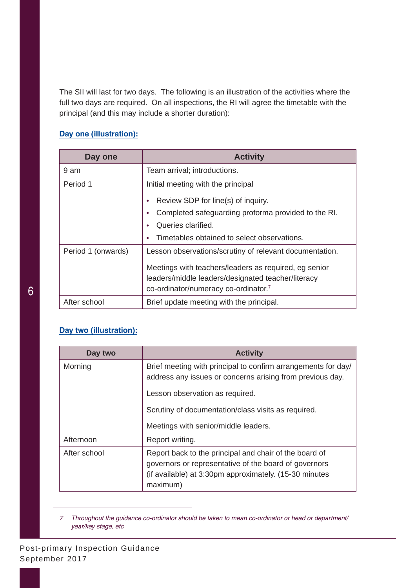The SII will last for two days. The following is an illustration of the activities where the full two days are required. On all inspections, the RI will agree the timetable with the principal (and this may include a shorter duration):

# **Day one (illustration):**

| Day one            | <b>Activity</b>                                                                            |
|--------------------|--------------------------------------------------------------------------------------------|
| 9 am               | Team arrival; introductions.                                                               |
| Period 1           | Initial meeting with the principal                                                         |
|                    | Review SDP for line(s) of inquiry.                                                         |
|                    | Completed safeguarding proforma provided to the RI.                                        |
|                    | Queries clarified.                                                                         |
|                    | Timetables obtained to select observations.                                                |
| Period 1 (onwards) | Lesson observations/scrutiny of relevant documentation.                                    |
|                    | Meetings with teachers/leaders as required, eg senior                                      |
|                    | leaders/middle leaders/designated teacher/literacy<br>co-ordinator/numeracy co-ordinator.7 |
| After school       | Brief update meeting with the principal.                                                   |

# **Day two (illustration):**

| Day two      | <b>Activity</b>                                                                                                                                                                       |
|--------------|---------------------------------------------------------------------------------------------------------------------------------------------------------------------------------------|
| Morning      | Brief meeting with principal to confirm arrangements for day/<br>address any issues or concerns arising from previous day.                                                            |
|              | Lesson observation as required.                                                                                                                                                       |
|              | Scrutiny of documentation/class visits as required.                                                                                                                                   |
|              | Meetings with senior/middle leaders.                                                                                                                                                  |
| Afternoon    | Report writing.                                                                                                                                                                       |
| After school | Report back to the principal and chair of the board of<br>governors or representative of the board of governors<br>(if available) at 3:30pm approximately. (15-30 minutes<br>maximum) |

*<sup>7</sup> Throughout the guidance co-ordinator should be taken to mean co-ordinator or head or department/ year/key stage, etc*

Post-primary Inspection Guidance September 2017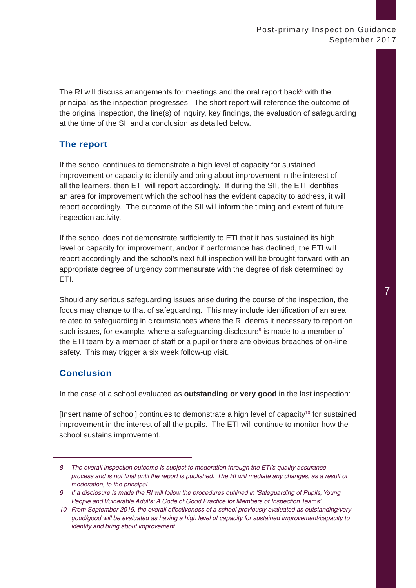The RI will discuss arrangements for meetings and the oral report back<sup>8</sup> with the principal as the inspection progresses. The short report will reference the outcome of the original inspection, the line(s) of inquiry, key findings, the evaluation of safeguarding at the time of the SII and a conclusion as detailed below.

# **The report**

If the school continues to demonstrate a high level of capacity for sustained improvement or capacity to identify and bring about improvement in the interest of all the learners, then ETI will report accordingly. If during the SII, the ETI identifies an area for improvement which the school has the evident capacity to address, it will report accordingly. The outcome of the SII will inform the timing and extent of future inspection activity.

If the school does not demonstrate sufficiently to ETI that it has sustained its high level or capacity for improvement, and/or if performance has declined, the ETI will report accordingly and the school's next full inspection will be brought forward with an appropriate degree of urgency commensurate with the degree of risk determined by ETI.

Should any serious safeguarding issues arise during the course of the inspection, the focus may change to that of safeguarding. This may include identification of an area related to safeguarding in circumstances where the RI deems it necessary to report on such issues, for example, where a safeguarding disclosure<sup>9</sup> is made to a member of the ETI team by a member of staff or a pupil or there are obvious breaches of on-line safety. This may trigger a six week follow-up visit.

# **Conclusion**

In the case of a school evaluated as **outstanding or very good** in the last inspection:

[Insert name of school] continues to demonstrate a high level of capacity<sup>10</sup> for sustained improvement in the interest of all the pupils. The ETI will continue to monitor how the school sustains improvement.

*<sup>8</sup> The overall inspection outcome is subject to moderation through the ETI's quality assurance process and is not final until the report is published. The RI will mediate any changes, as a result of moderation, to the principal.*

*<sup>9</sup> If a disclosure is made the RI will follow the procedures outlined in 'Safeguarding of Pupils, Young People and Vulnerable Adults: A Code of Good Practice for Members of Inspection Teams'.*

*<sup>10</sup> From September 2015, the overall effectiveness of a school previously evaluated as outstanding/very good/good will be evaluated as having a high level of capacity for sustained improvement/capacity to identify and bring about improvement.*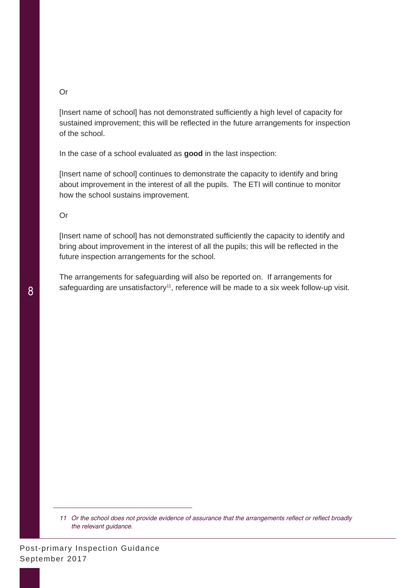#### Or

[Insert name of school] has not demonstrated sufficiently a high level of capacity for sustained improvement; this will be reflected in the future arrangements for inspection of the school.

In the case of a school evaluated as **good** in the last inspection:

[Insert name of school] continues to demonstrate the capacity to identify and bring about improvement in the interest of all the pupils. The ETI will continue to monitor how the school sustains improvement.

Or

[Insert name of school] has not demonstrated sufficiently the capacity to identify and bring about improvement in the interest of all the pupils; this will be reflected in the future inspection arrangements for the school.

The arrangements for safeguarding will also be reported on. If arrangements for safeguarding are unsatisfactory<sup>11</sup>, reference will be made to a six week follow-up visit.

<sup>11</sup> Or the school does not provide evidence of assurance that the arrangements reflect or reflect broadly *the relevant guidance.*